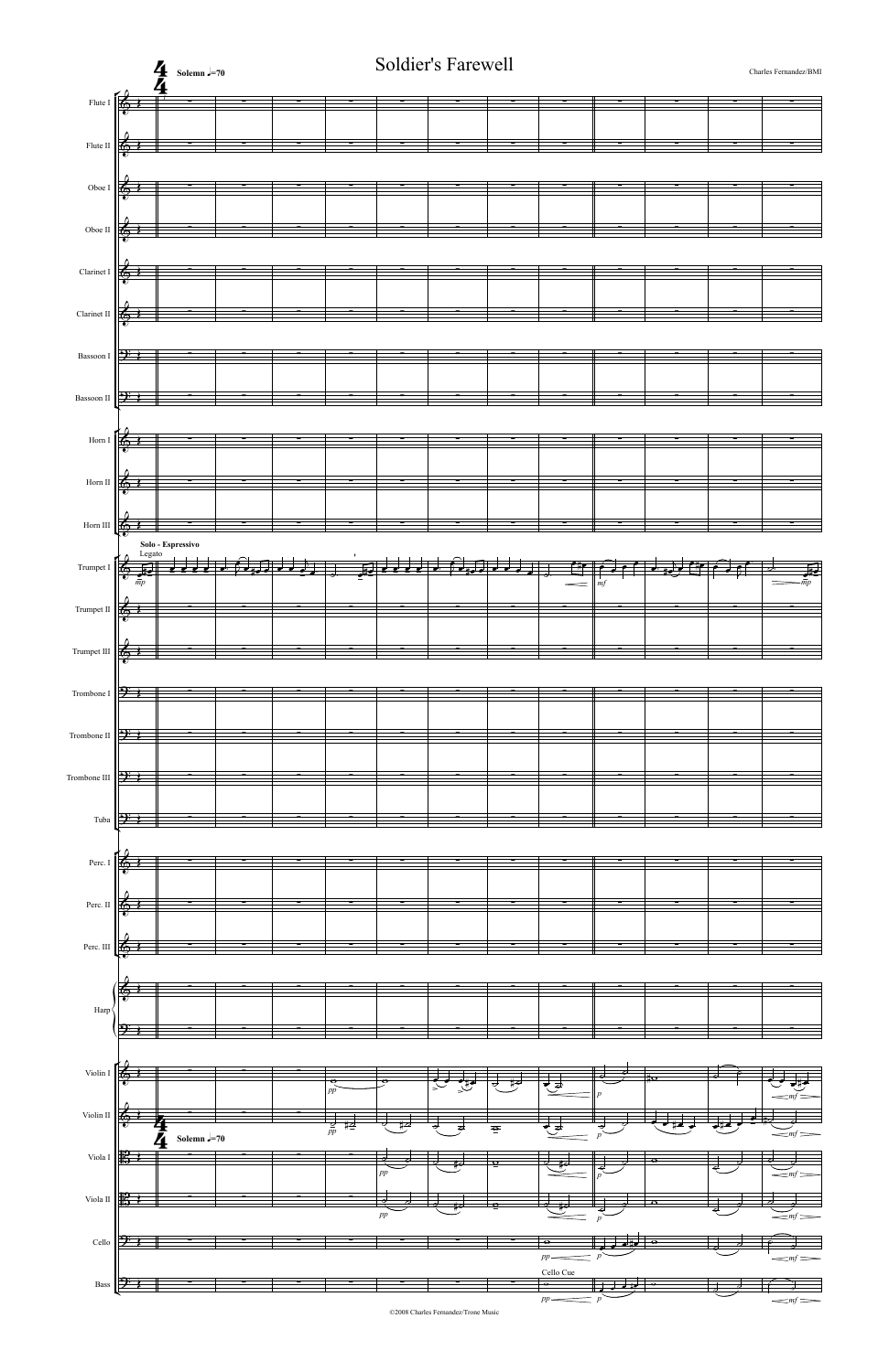©2008 Charles Fernandez/Trone Music

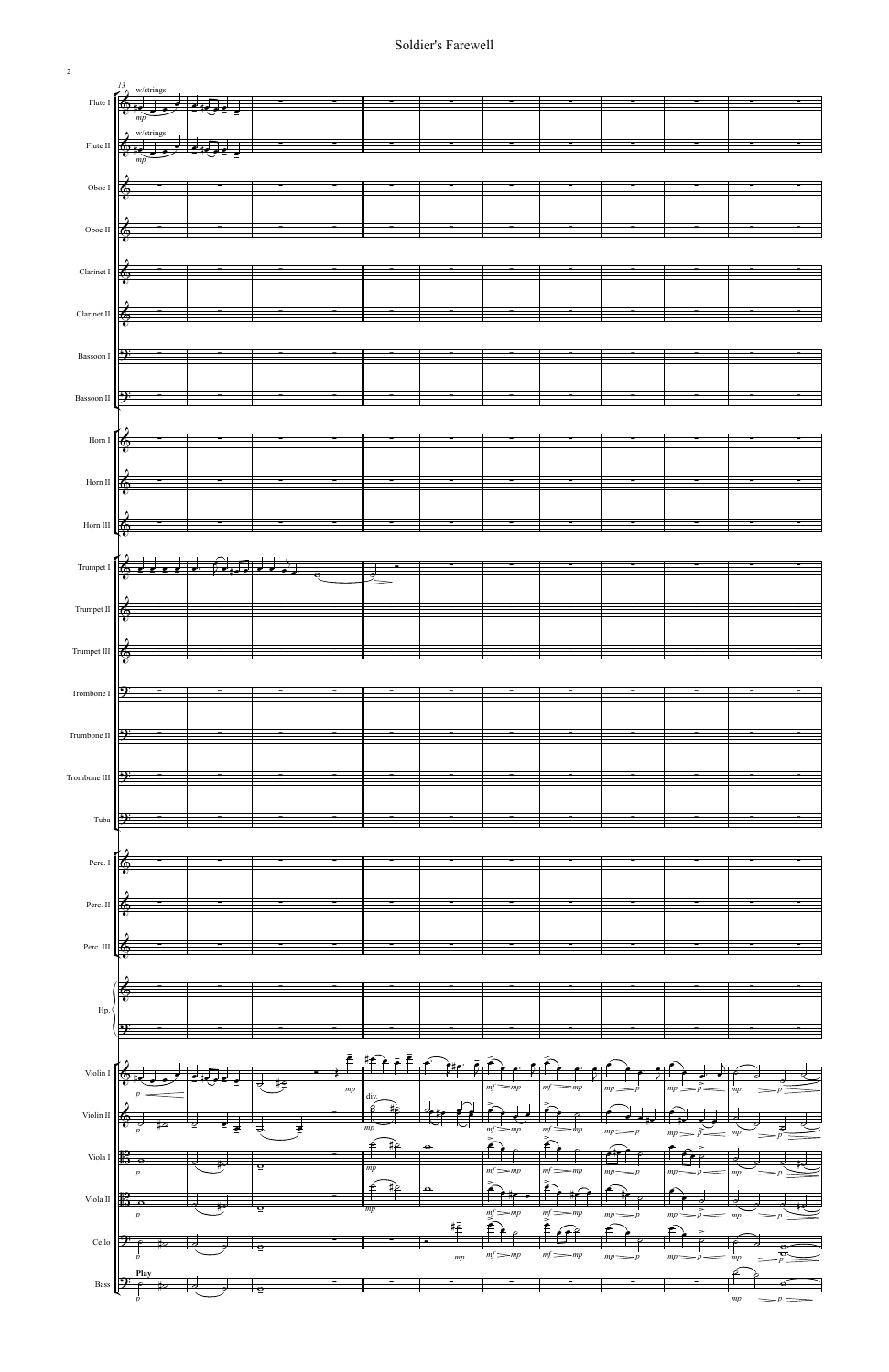

2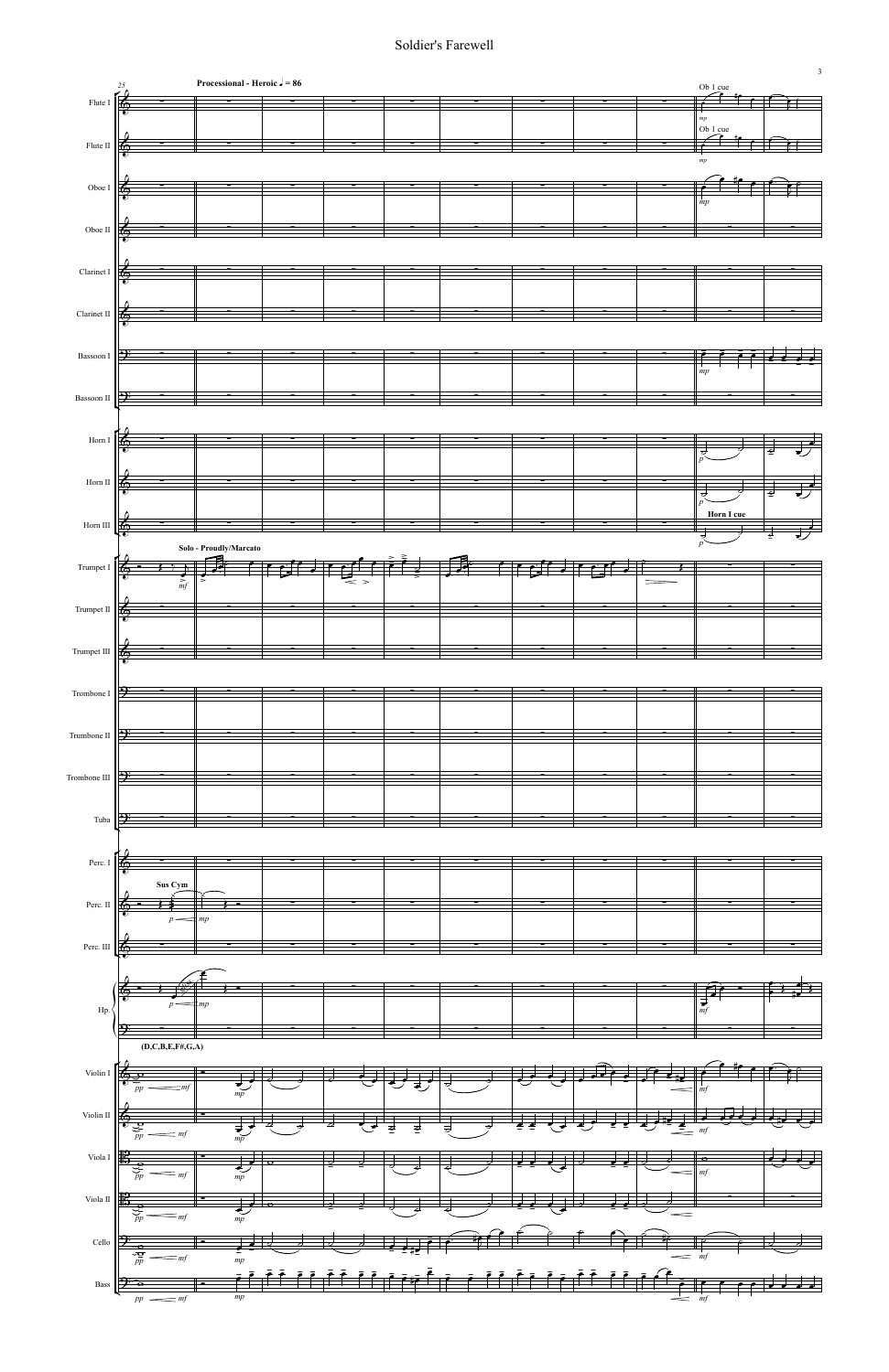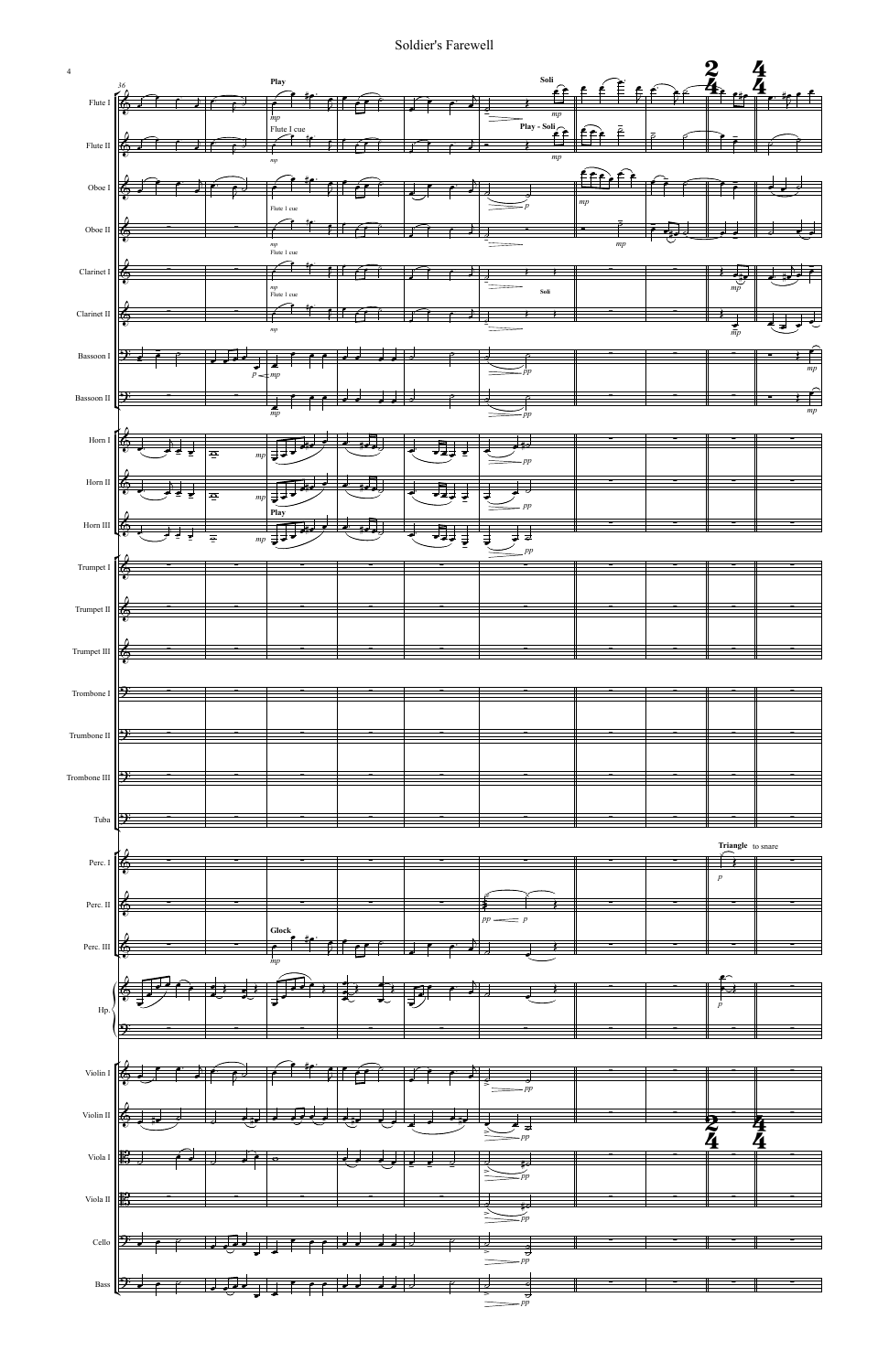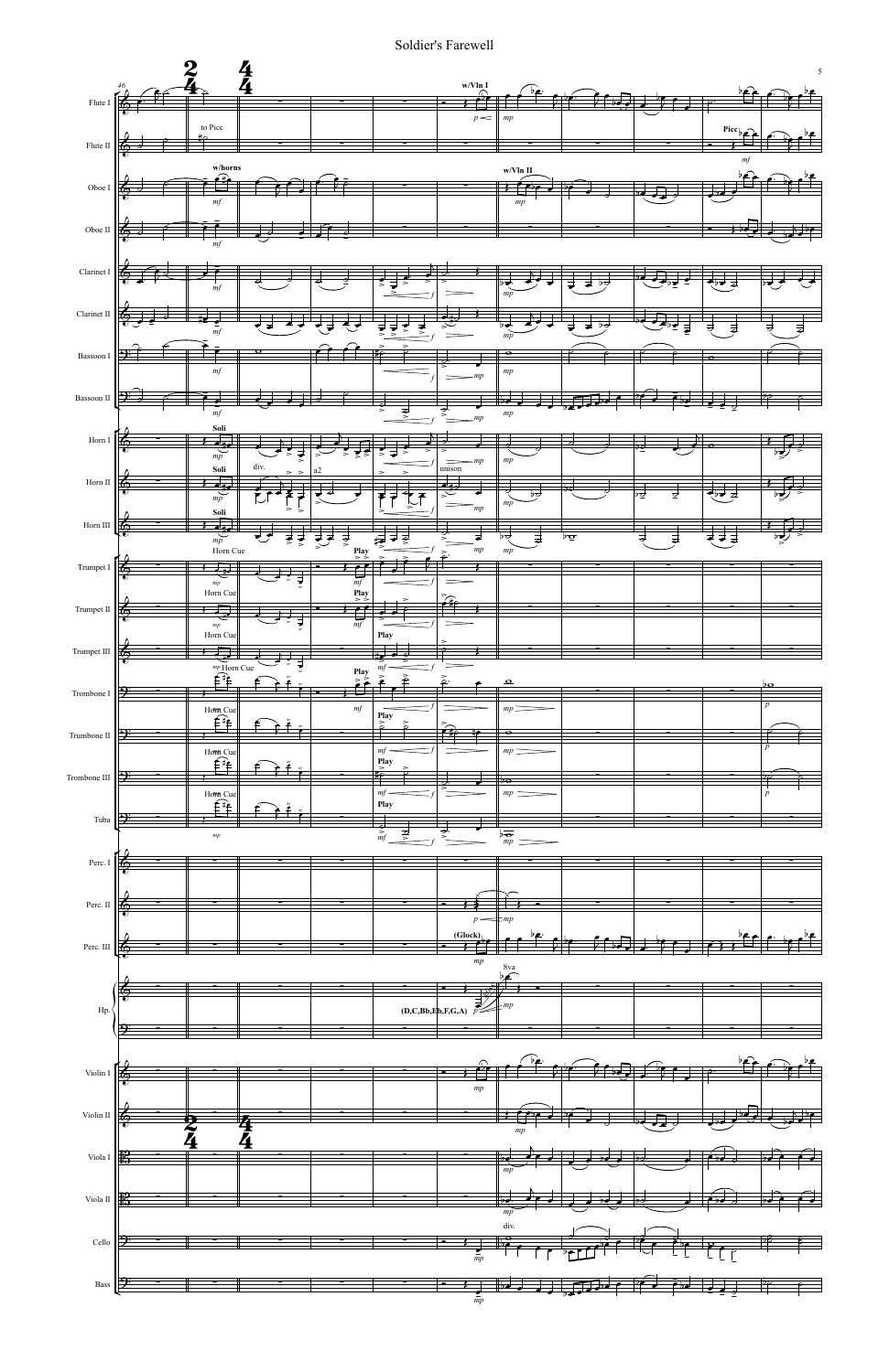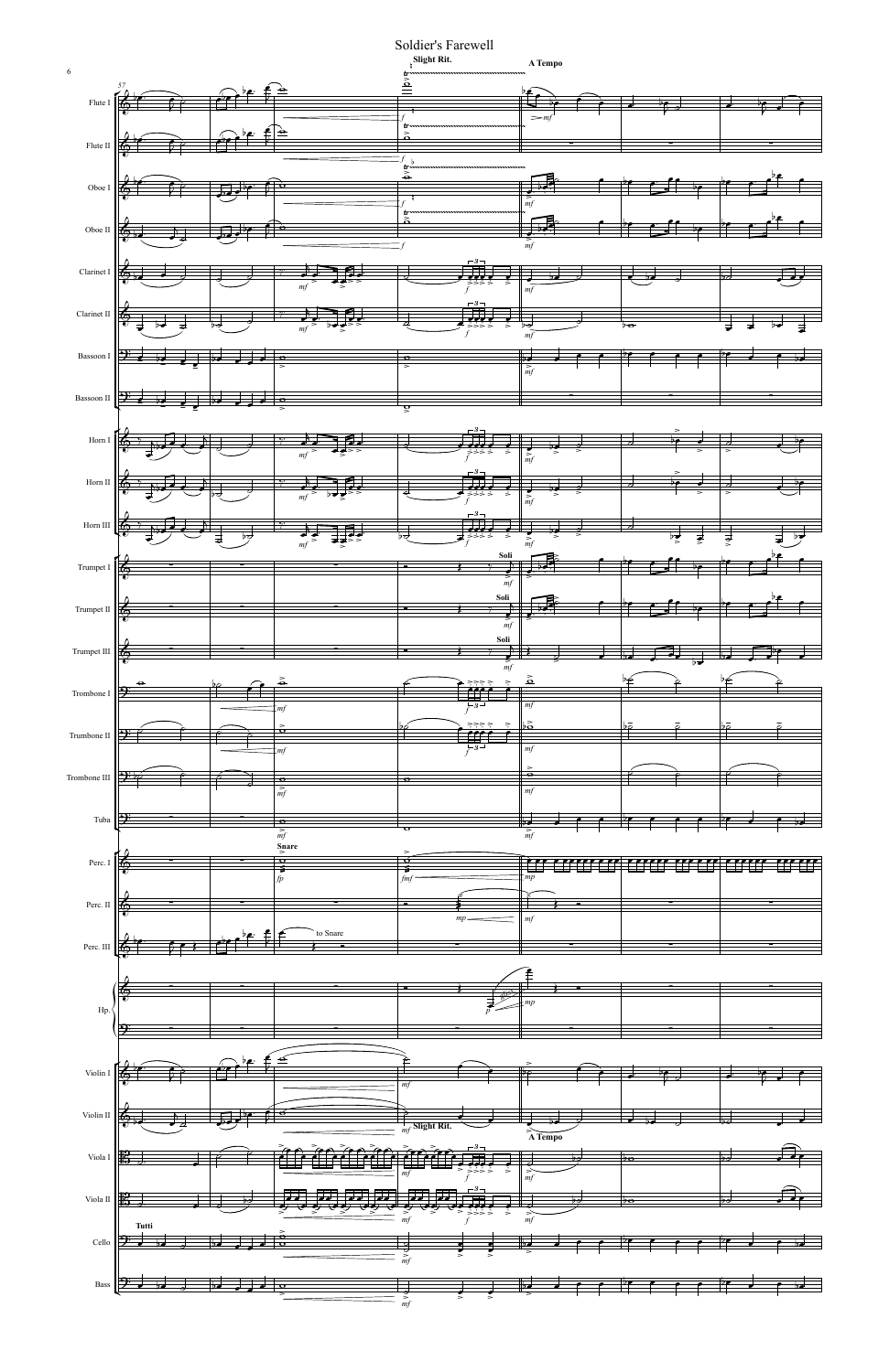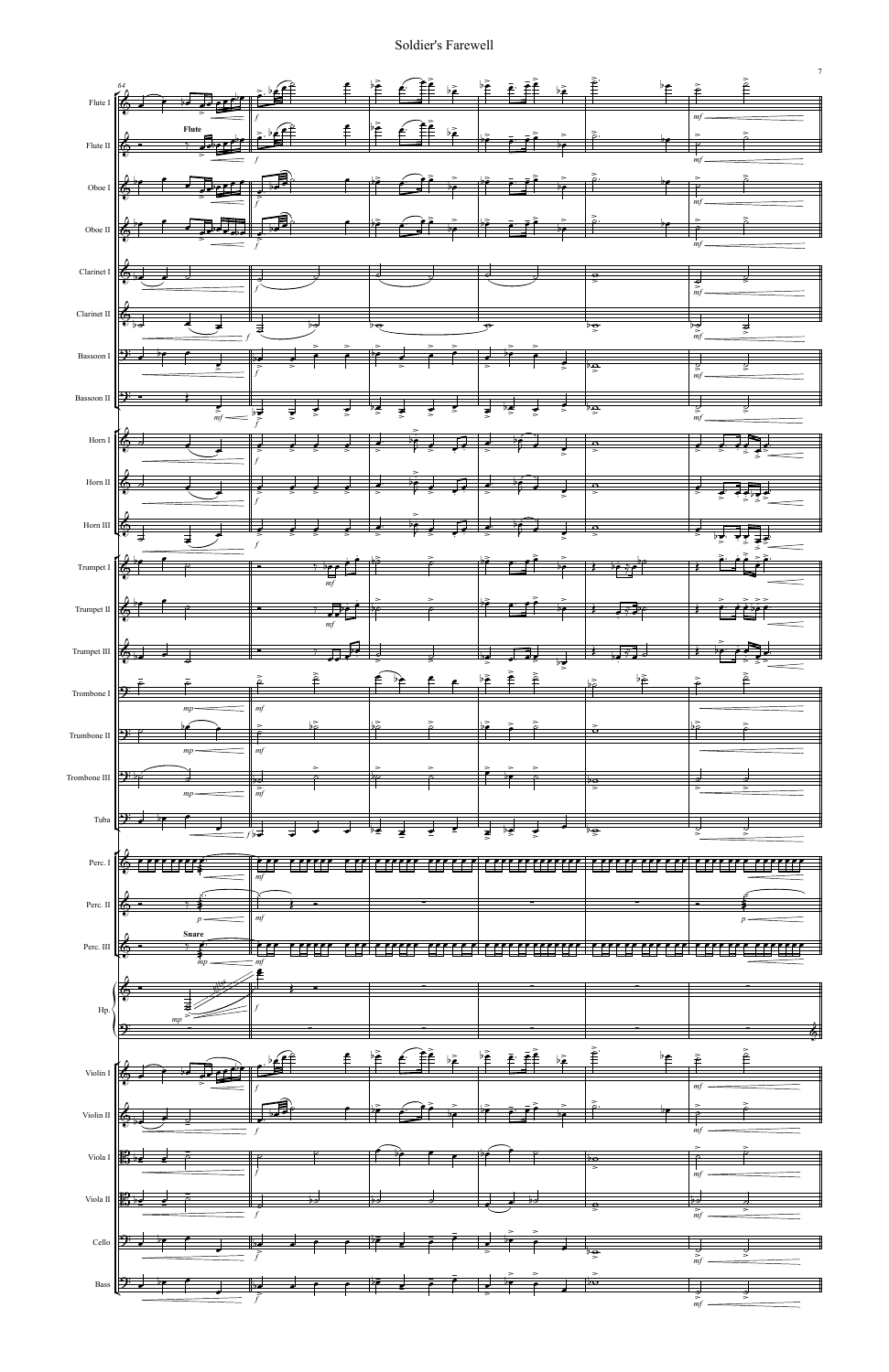